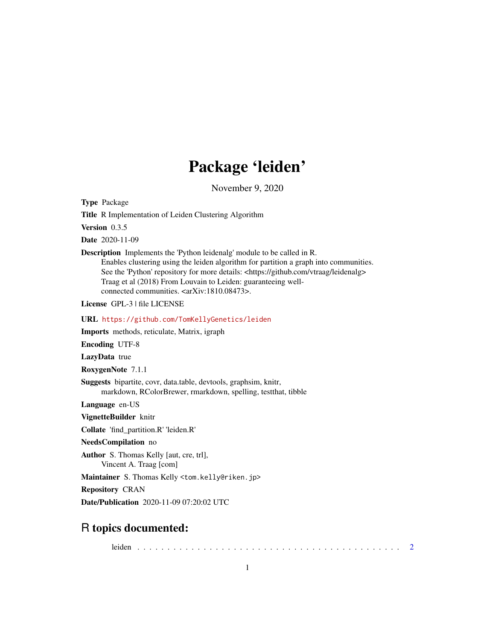## Package 'leiden'

November 9, 2020

<span id="page-0-0"></span>Type Package

Title R Implementation of Leiden Clustering Algorithm

Version 0.3.5

Date 2020-11-09

Description Implements the 'Python leidenalg' module to be called in R. Enables clustering using the leiden algorithm for partition a graph into communities. See the 'Python' repository for more details: <https://github.com/vtraag/leidenalg> Traag et al (2018) From Louvain to Leiden: guaranteeing wellconnected communities. <arXiv:1810.08473>.

License GPL-3 | file LICENSE

URL <https://github.com/TomKellyGenetics/leiden>

Imports methods, reticulate, Matrix, igraph

Encoding UTF-8

LazyData true

RoxygenNote 7.1.1

Suggests bipartite, covr, data.table, devtools, graphsim, knitr, markdown, RColorBrewer, rmarkdown, spelling, testthat, tibble

Language en-US

VignetteBuilder knitr

Collate 'find\_partition.R' 'leiden.R'

NeedsCompilation no

Author S. Thomas Kelly [aut, cre, trl], Vincent A. Traag [com]

Maintainer S. Thomas Kelly <tom.kelly@riken.jp>

Repository CRAN

Date/Publication 2020-11-09 07:20:02 UTC

### R topics documented:

leiden . . . . . . . . . . . . . . . . . . . . . . . . . . . . . . . . . . . . . . . . . . . . [2](#page-1-0)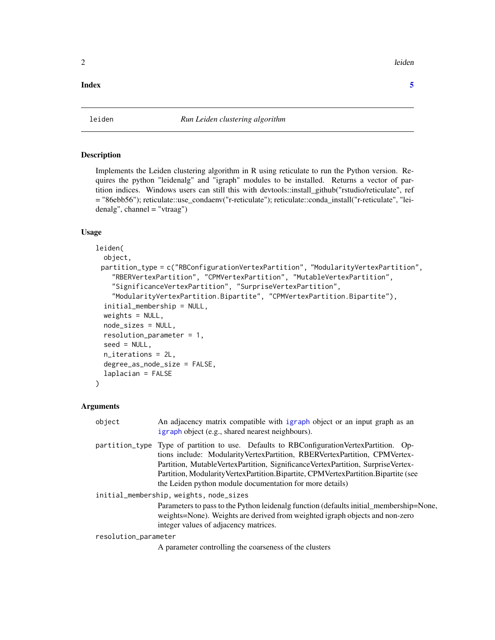<span id="page-1-0"></span>2 leiden auch der Stadt eine Einstellung der Stadt eine Stadt eine Stadt eine Stadt eine Stadt eine Stadt eine

### **Index** [5](#page-4-0). The second state of the second state of the second state of the second state of the second state of the second state of the second state of the second state of the second state of the second state of the second

### Description

Implements the Leiden clustering algorithm in R using reticulate to run the Python version. Requires the python "leidenalg" and "igraph" modules to be installed. Returns a vector of partition indices. Windows users can still this with devtools::install\_github("rstudio/reticulate", ref = "86ebb56"); reticulate::use\_condaenv("r-reticulate"); reticulate::conda\_install("r-reticulate", "leidenalg", channel = "vtraag")

### Usage

```
leiden(
  object,
 partition_type = c("RBConfigurationVertexPartition", "ModularityVertexPartition",
    "RBERVertexPartition", "CPMVertexPartition", "MutableVertexPartition",
    "SignificanceVertexPartition", "SurpriseVertexPartition",
    "ModularityVertexPartition.Bipartite", "CPMVertexPartition.Bipartite"),
  initial_membership = NULL,
  weights = NULL,
  node_sizes = NULL,
  resolution_parameter = 1,
  seed = NULL,
  n_iterations = 2L,
  degree_as_node_size = FALSE,
  laplacian = FALSE
)
```
### Arguments

| object                                  | An adjacency matrix compatible with igraph object or an input graph as an<br>igraph object (e.g., shared nearest neighbours).                                                                                                                                                                                                                                                                                   |
|-----------------------------------------|-----------------------------------------------------------------------------------------------------------------------------------------------------------------------------------------------------------------------------------------------------------------------------------------------------------------------------------------------------------------------------------------------------------------|
|                                         | partition_type Type of partition to use. Defaults to RBConfigurationVertexPartition. Op-<br>tions include: ModularityVertexPartition, RBERVertexPartition, CPMVertex-<br>Partition, MutableVertexPartition, SignificanceVertexPartition, SurpriseVertex-<br>Partition, Modularity Vertex Partition. Bipartite, CPM Vertex Partition. Bipartite (see<br>the Leiden python module documentation for more details) |
| initial_membership, weights, node_sizes |                                                                                                                                                                                                                                                                                                                                                                                                                 |
|                                         | Parameters to pass to the Python leidenalg function (defaults initial_membership=None,<br>weights=None). Weights are derived from weighted igraph objects and non-zero<br>integer values of adjacency matrices.                                                                                                                                                                                                 |
| resolution_parameter                    |                                                                                                                                                                                                                                                                                                                                                                                                                 |
|                                         | A parameter controlling the coarseness of the clusters                                                                                                                                                                                                                                                                                                                                                          |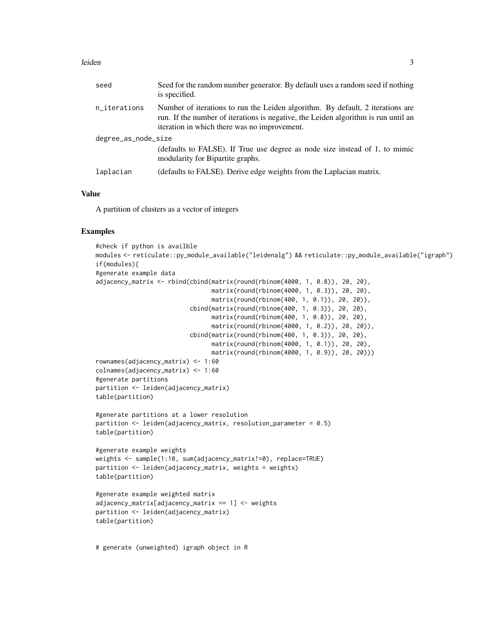### leiden 3

| seed                | Seed for the random number generator. By default uses a random seed if nothing<br>is specified.                                                                                                                      |  |
|---------------------|----------------------------------------------------------------------------------------------------------------------------------------------------------------------------------------------------------------------|--|
| n_iterations        | Number of iterations to run the Leiden algorithm. By default, 2 iterations are<br>run. If the number of iterations is negative, the Leiden algorithm is run until an<br>iteration in which there was no improvement. |  |
| degree_as_node_size |                                                                                                                                                                                                                      |  |
|                     | (defaults to FALSE). If True use degree as node size instead of 1, to mimic<br>modularity for Bipartite graphs.                                                                                                      |  |
| laplacian           | (defaults to FALSE). Derive edge weights from the Laplacian matrix.                                                                                                                                                  |  |

### Value

A partition of clusters as a vector of integers

### Examples

```
#check if python is availble
modules <- reticulate::py_module_available("leidenalg") && reticulate::py_module_available("igraph")
if(modules){
#generate example data
adjacency_matrix <- rbind(cbind(matrix(round(rbinom(4000, 1, 0.8)), 20, 20),
                                matrix(round(rbinom(4000, 1, 0.3)), 20, 20),
                                matrix(round(rbinom(400, 1, 0.1)), 20, 20)),
                          cbind(matrix(round(rbinom(400, 1, 0.3)), 20, 20),
                                matrix(round(rbinom(400, 1, 0.8)), 20, 20),
                                matrix(round(rbinom(4000, 1, 0.2)), 20, 20)),
                          cbind(matrix(round(rbinom(400, 1, 0.3)), 20, 20),
                                matrix(round(rbinom(4000, 1, 0.1)), 20, 20),
                                matrix(round(rbinom(4000, 1, 0.9)), 20, 20)))
rownames(adjacency_matrix) <- 1:60
colnames(adjacency_matrix) <- 1:60
#generate partitions
partition <- leiden(adjacency_matrix)
table(partition)
#generate partitions at a lower resolution
partition <- leiden(adjacency_matrix, resolution_parameter = 0.5)
table(partition)
#generate example weights
weights <- sample(1:10, sum(adjacency_matrix!=0), replace=TRUE)
partition <- leiden(adjacency_matrix, weights = weights)
table(partition)
#generate example weighted matrix
adjacency_matrix[adjacency_matrix == 1] <- weights
partition <- leiden(adjacency_matrix)
table(partition)
```
# generate (unweighted) igraph object in R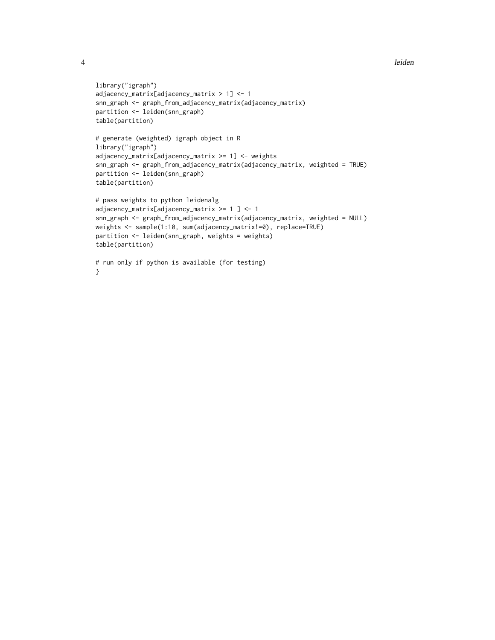```
library("igraph")
adjacency_matrix[adjacency_matrix > 1] <- 1
snn_graph <- graph_from_adjacency_matrix(adjacency_matrix)
partition <- leiden(snn_graph)
table(partition)
# generate (weighted) igraph object in R
library("igraph")
adjacency_matrix[adjacency_matrix >= 1] <- weights
snn_graph <- graph_from_adjacency_matrix(adjacency_matrix, weighted = TRUE)
partition <- leiden(snn_graph)
table(partition)
# pass weights to python leidenalg
adjacency_matrix[adjacency_matrix >= 1 ] <- 1
snn_graph <- graph_from_adjacency_matrix(adjacency_matrix, weighted = NULL)
weights <- sample(1:10, sum(adjacency_matrix!=0), replace=TRUE)
partition <- leiden(snn_graph, weights = weights)
table(partition)
# run only if python is available (for testing)
```

```
}
```